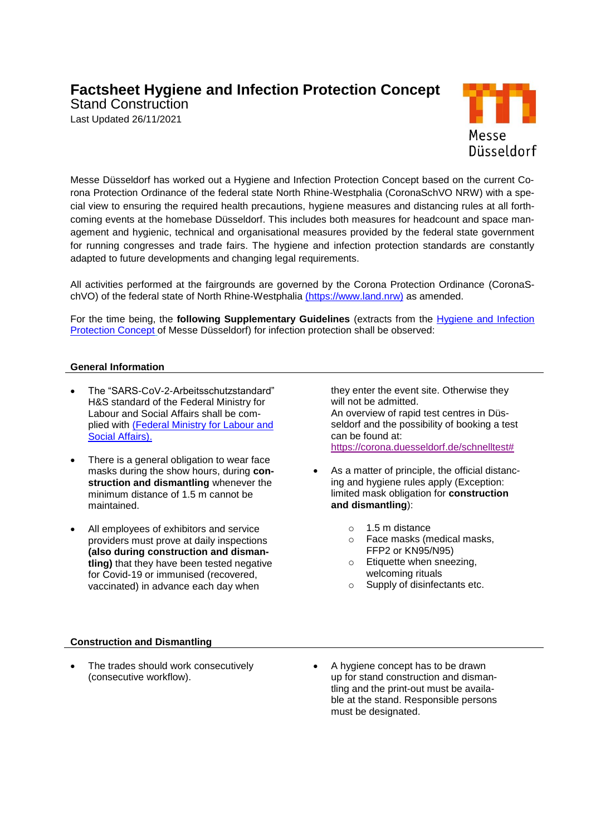# **Factsheet Hygiene and Infection Protection Concept**

Stand Construction Last Updated 26/11/2021



Messe Düsseldorf has worked out a Hygiene and Infection Protection Concept based on the current Corona Protection Ordinance of the federal state North Rhine-Westphalia (CoronaSchVO NRW) with a special view to ensuring the required health precautions, hygiene measures and distancing rules at all forthcoming events at the homebase Düsseldorf. This includes both measures for headcount and space management and hygienic, technical and organisational measures provided by the federal state government for running congresses and trade fairs. The hygiene and infection protection standards are constantly adapted to future developments and changing legal requirements.

All activities performed at the fairgrounds are governed by the Corona Protection Ordinance (CoronaSchVO) of the federal state of North Rhine-Westphalia [\(https://www.land.nrw\)](https://www.land.nrw/) as amended.

For the time being, the **following Supplementary Guidelines** (extracts from the [Hygiene and Infection](https://www.messe-duesseldorf.com/cgi-bin/md_home/lib/pub/tt.cgi?oid=2445&lang=2&ticket=g_u_e_s_t&_ga=2.252158281.1362194946.1594020443-2058079706.1554215999) [Protection Concept](https://www.messe-duesseldorf.com/cgi-bin/md_home/lib/pub/tt.cgi?oid=2445&lang=2&ticket=g_u_e_s_t&_ga=2.252158281.1362194946.1594020443-2058079706.1554215999) of Messe Düsseldorf) for infection protection shall be observed:

## **General Information**

- The "SARS-CoV-2-Arbeitsschutzstandard" H&S standard of the Federal Ministry for Labour and Social Affairs shall be complied with (Federal Ministry for Labour and Social [Affairs\).](https://www.bmas.de/EN/Home/home.html)
- There is a general obligation to wear face masks during the show hours, during **construction and dismantling** whenever the minimum distance of 1.5 m cannot be maintained.
- All employees of exhibitors and service providers must prove at daily inspections **(also during construction and dismantling)** that they have been tested negative for Covid-19 or immunised (recovered, vaccinated) in advance each day when

they enter the event site. Otherwise they will not be admitted. An overview of rapid test centres in Düsseldorf and the possibility of booking a test can be found at: [https://corona.duesseldorf.de/schnelltest#](https://corona.duesseldorf.de/schnelltest)

- As a matter of principle, the official distancing and hygiene rules apply (Exception: limited mask obligation for **construction and dismantling**):
	- o 1.5 m distance
	- o Face masks (medical masks, FFP2 or KN95/N95)
	- o Etiquette when sneezing, welcoming rituals
	- o Supply of disinfectants etc.

#### **Construction and Dismantling**

- The trades should work consecutively (consecutive workflow).
- A hygiene concept has to be drawn up for stand construction and dismantling and the print-out must be available at the stand. Responsible persons must be designated.